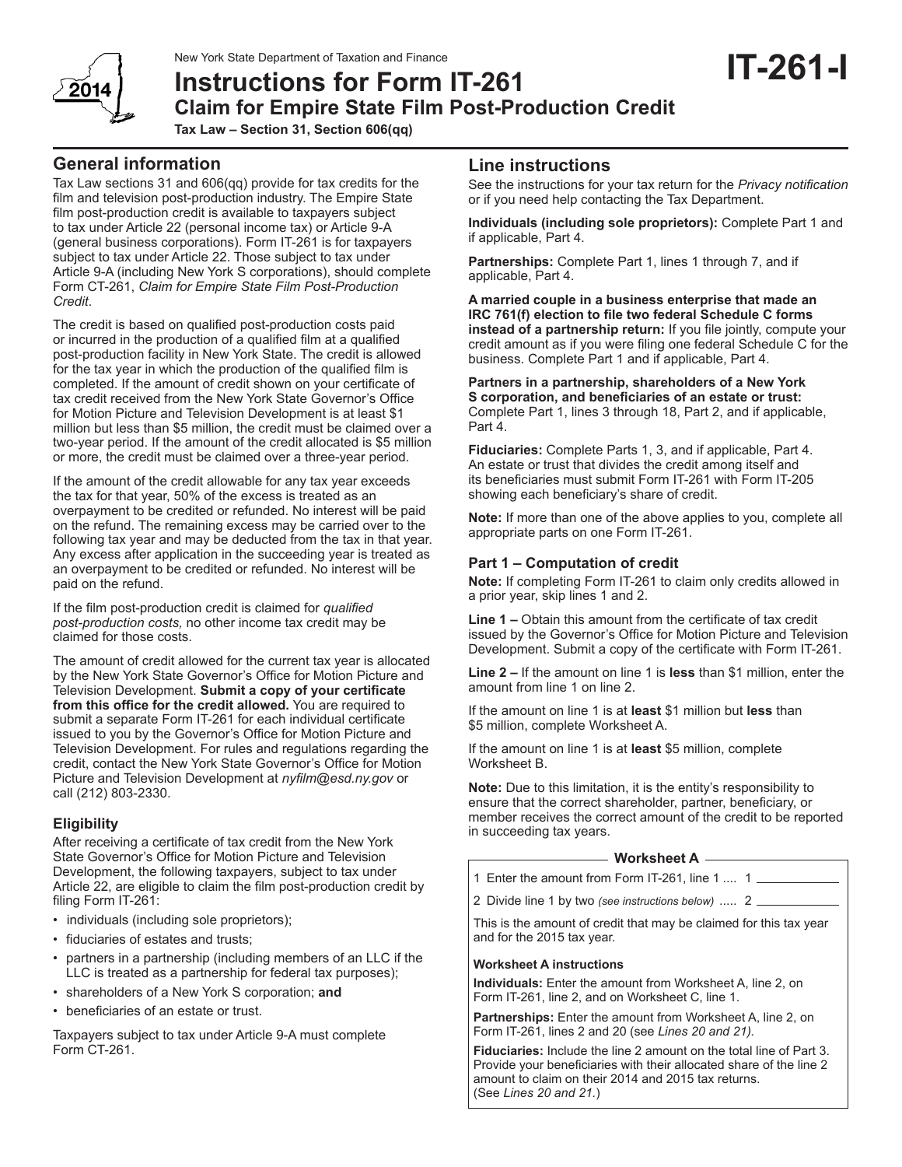# New York State Department of Taxation and Finance<br>**Instructions for Form IT-261 Claim for Empire State Film Post-Production Credit Tax Law – Section 31, Section 606(qq)**

Tax Law sections 31 and 606(qq) provide for tax credits for the film and television post-production industry. The Empire State film post-production credit is available to taxpayers subject to tax under Article 22 (personal income tax) or Article 9-A (general business corporations). Form IT-261 is for taxpayers subject to tax under Article 22. Those subject to tax under Article 9-A (including New York S corporations), should complete Form CT-261, *Claim for Empire State Film Post-Production Credit*.

The credit is based on qualified post-production costs paid or incurred in the production of a qualified film at a qualified post-production facility in New York State. The credit is allowed for the tax year in which the production of the qualified film is completed. If the amount of credit shown on your certificate of tax credit received from the New York State Governor's Office for Motion Picture and Television Development is at least \$1 million but less than \$5 million, the credit must be claimed over a two-year period. If the amount of the credit allocated is \$5 million or more, the credit must be claimed over a three-year period.

If the amount of the credit allowable for any tax year exceeds the tax for that year, 50% of the excess is treated as an overpayment to be credited or refunded. No interest will be paid on the refund. The remaining excess may be carried over to the following tax year and may be deducted from the tax in that year. Any excess after application in the succeeding year is treated as an overpayment to be credited or refunded. No interest will be paid on the refund.

If the film post-production credit is claimed for *qualified post-production costs,* no other income tax credit may be claimed for those costs.

The amount of credit allowed for the current tax year is allocated by the New York State Governor's Office for Motion Picture and Television Development. **Submit a copy of your certificate from this office for the credit allowed.** You are required to submit a separate Form IT-261 for each individual certificate issued to you by the Governor's Office for Motion Picture and Television Development. For rules and regulations regarding the credit, contact the New York State Governor's Office for Motion Picture and Television Development at *nyfilm@esd.ny.gov* or call (212) 803-2330.

# **Eligibility**

After receiving a certificate of tax credit from the New York State Governor's Office for Motion Picture and Television Development, the following taxpayers, subject to tax under Article 22, are eligible to claim the film post-production credit by filing Form IT-261:

- individuals (including sole proprietors);
- fiduciaries of estates and trusts;
- partners in a partnership (including members of an LLC if the LLC is treated as a partnership for federal tax purposes);
- shareholders of a New York S corporation; **and**
- beneficiaries of an estate or trust.

Taxpayers subject to tax under Article 9-A must complete Form CT-261.

# **Line instructions**

See the instructions for your tax return for the *Privacy notification* or if you need help contacting the Tax Department.

**Individuals (including sole proprietors):** Complete Part 1 and if applicable, Part 4.

**Partnerships:** Complete Part 1, lines 1 through 7, and if applicable, Part 4.

**A married couple in a business enterprise that made an IRC 761(f) election to file two federal Schedule C forms instead of a partnership return:** If you file jointly, compute your credit amount as if you were filing one federal Schedule C for the business. Complete Part 1 and if applicable, Part 4.

#### **Partners in a partnership, shareholders of a New York S corporation, and beneficiaries of an estate or trust:**

Complete Part 1, lines 3 through 18, Part 2, and if applicable, Part 4.

**Fiduciaries:** Complete Parts 1, 3, and if applicable, Part 4. An estate or trust that divides the credit among itself and its beneficiaries must submit Form IT-261 with Form IT-205 showing each beneficiary's share of credit.

**Note:** If more than one of the above applies to you, complete all appropriate parts on one Form IT-261.

# **Part 1 – Computation of credit**

**Note:** If completing Form IT-261 to claim only credits allowed in a prior year, skip lines 1 and 2.

**Line 1 –** Obtain this amount from the certificate of tax credit issued by the Governor's Office for Motion Picture and Television Development. Submit a copy of the certificate with Form IT-261.

**Line 2 –** If the amount on line 1 is **less** than \$1 million, enter the amount from line 1 on line 2.

If the amount on line 1 is at **least** \$1 million but **less** than \$5 million, complete Worksheet A.

If the amount on line 1 is at **least** \$5 million, complete Worksheet B.

**Note:** Due to this limitation, it is the entity's responsibility to ensure that the correct shareholder, partner, beneficiary, or member receives the correct amount of the credit to be reported in succeeding tax years.

#### **Worksheet A**

1 Enter the amount from Form IT-261, line 1 .... 1

2 Divide line 1 by two *(see instructions below)* ..... 2

This is the amount of credit that may be claimed for this tax year and for the 2015 tax year.

#### **Worksheet A instructions**

**Individuals:** Enter the amount from Worksheet A, line 2, on Form IT-261, line 2, and on Worksheet C, line 1.

**Partnerships:** Enter the amount from Worksheet A, line 2, on Form IT-261, lines 2 and 20 (see *Lines 20 and 21).*

**Fiduciaries:** Include the line 2 amount on the total line of Part 3. Provide your beneficiaries with their allocated share of the line 2 amount to claim on their 2014 and 2015 tax returns. (See *Lines 20 and 21.*)